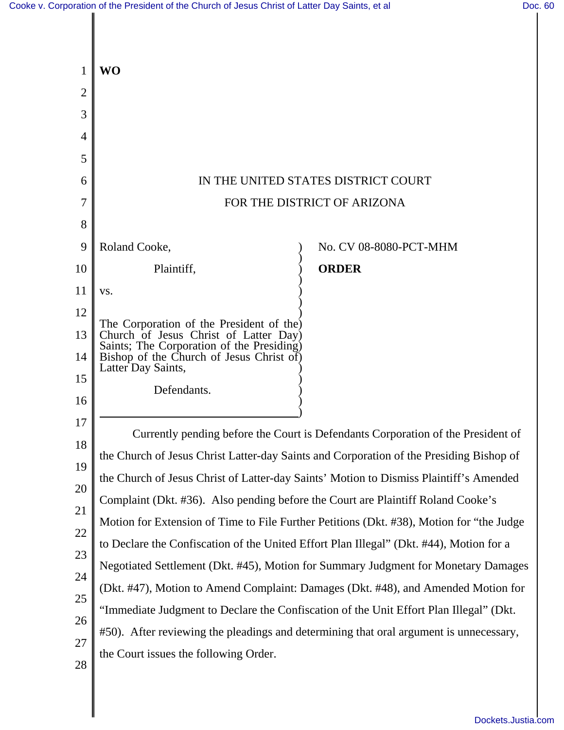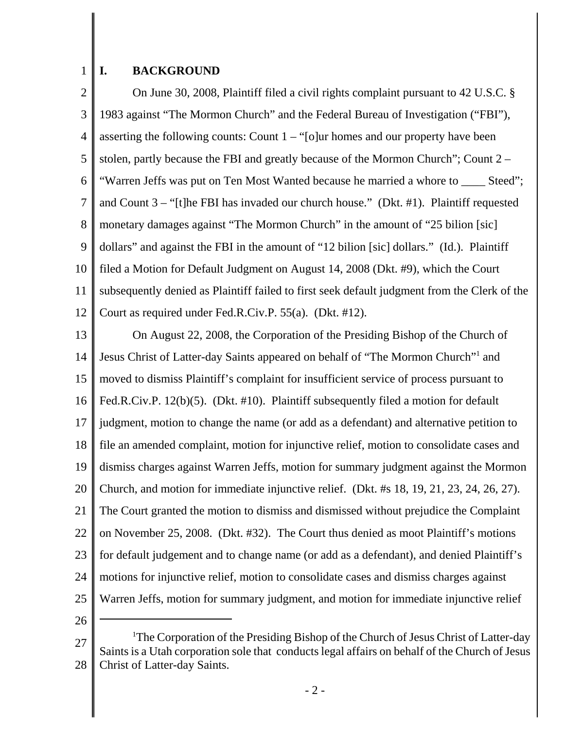## 1 **I. BACKGROUND**

2 3 4 5 6 7 8 9 10 11 12 On June 30, 2008, Plaintiff filed a civil rights complaint pursuant to 42 U.S.C. § 1983 against "The Mormon Church" and the Federal Bureau of Investigation ("FBI"), asserting the following counts: Count  $1 -$  "[o]ur homes and our property have been stolen, partly because the FBI and greatly because of the Mormon Church"; Count 2 – "Warren Jeffs was put on Ten Most Wanted because he married a whore to \_\_\_\_ Steed"; and Count 3 – "[t]he FBI has invaded our church house." (Dkt. #1). Plaintiff requested monetary damages against "The Mormon Church" in the amount of "25 bilion [sic] dollars" and against the FBI in the amount of "12 bilion [sic] dollars." (Id.). Plaintiff filed a Motion for Default Judgment on August 14, 2008 (Dkt. #9), which the Court subsequently denied as Plaintiff failed to first seek default judgment from the Clerk of the Court as required under Fed.R.Civ.P. 55(a). (Dkt. #12).

13 14 15 16 17 18 19 20 21 22 23 24 25 On August 22, 2008, the Corporation of the Presiding Bishop of the Church of Jesus Christ of Latter-day Saints appeared on behalf of "The Mormon Church"<sup>1</sup> and moved to dismiss Plaintiff's complaint for insufficient service of process pursuant to Fed.R.Civ.P. 12(b)(5). (Dkt. #10). Plaintiff subsequently filed a motion for default judgment, motion to change the name (or add as a defendant) and alternative petition to file an amended complaint, motion for injunctive relief, motion to consolidate cases and dismiss charges against Warren Jeffs, motion for summary judgment against the Mormon Church, and motion for immediate injunctive relief. (Dkt. #s 18, 19, 21, 23, 24, 26, 27). The Court granted the motion to dismiss and dismissed without prejudice the Complaint on November 25, 2008. (Dkt. #32). The Court thus denied as moot Plaintiff's motions for default judgement and to change name (or add as a defendant), and denied Plaintiff's motions for injunctive relief, motion to consolidate cases and dismiss charges against Warren Jeffs, motion for summary judgment, and motion for immediate injunctive relief

26

<sup>27</sup> 28 <sup>1</sup>The Corporation of the Presiding Bishop of the Church of Jesus Christ of Latter-day Saints is a Utah corporation sole that conducts legal affairs on behalf of the Church of Jesus Christ of Latter-day Saints.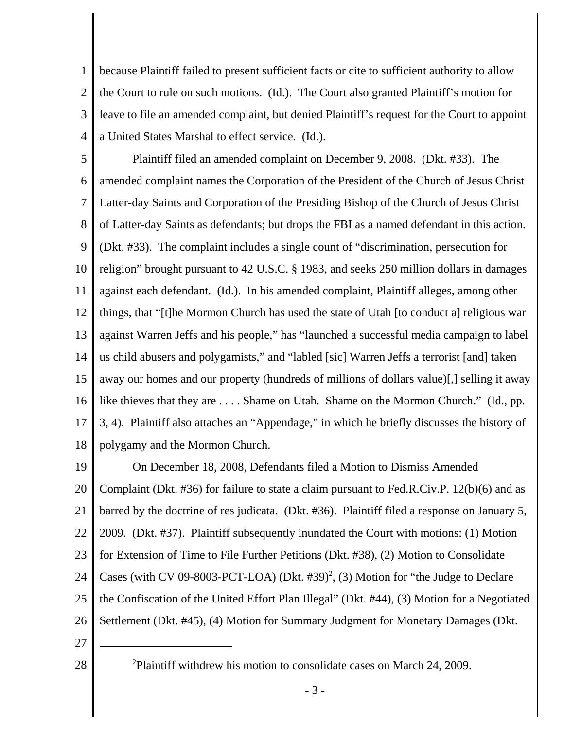1 2 3 4 because Plaintiff failed to present sufficient facts or cite to sufficient authority to allow the Court to rule on such motions. (Id.). The Court also granted Plaintiff's motion for leave to file an amended complaint, but denied Plaintiff's request for the Court to appoint a United States Marshal to effect service. (Id.).

5 6 7 8 9 10 11 12 13 14 15 16 17 18 Plaintiff filed an amended complaint on December 9, 2008. (Dkt. #33). The amended complaint names the Corporation of the President of the Church of Jesus Christ Latter-day Saints and Corporation of the Presiding Bishop of the Church of Jesus Christ of Latter-day Saints as defendants; but drops the FBI as a named defendant in this action. (Dkt. #33). The complaint includes a single count of "discrimination, persecution for religion" brought pursuant to 42 U.S.C. § 1983, and seeks 250 million dollars in damages against each defendant. (Id.). In his amended complaint, Plaintiff alleges, among other things, that "[t]he Mormon Church has used the state of Utah [to conduct a] religious war against Warren Jeffs and his people," has "launched a successful media campaign to label us child abusers and polygamists," and "labled [sic] Warren Jeffs a terrorist [and] taken away our homes and our property (hundreds of millions of dollars value)[,] selling it away like thieves that they are . . . . Shame on Utah. Shame on the Mormon Church." (Id., pp. 3, 4). Plaintiff also attaches an "Appendage," in which he briefly discusses the history of polygamy and the Mormon Church.

19 20 21 22 23 24 25 26 On December 18, 2008, Defendants filed a Motion to Dismiss Amended Complaint (Dkt. #36) for failure to state a claim pursuant to Fed.R.Civ.P. 12(b)(6) and as barred by the doctrine of res judicata. (Dkt. #36). Plaintiff filed a response on January 5, 2009. (Dkt. #37). Plaintiff subsequently inundated the Court with motions: (1) Motion for Extension of Time to File Further Petitions (Dkt. #38), (2) Motion to Consolidate Cases (with CV 09-8003-PCT-LOA) (Dkt.  $#39$ <sup>2</sup>, (3) Motion for "the Judge to Declare the Confiscation of the United Effort Plan Illegal" (Dkt. #44), (3) Motion for a Negotiated Settlement (Dkt. #45), (4) Motion for Summary Judgment for Monetary Damages (Dkt.

- 27
- 28 <sup>2</sup>

Plaintiff withdrew his motion to consolidate cases on March 24, 2009.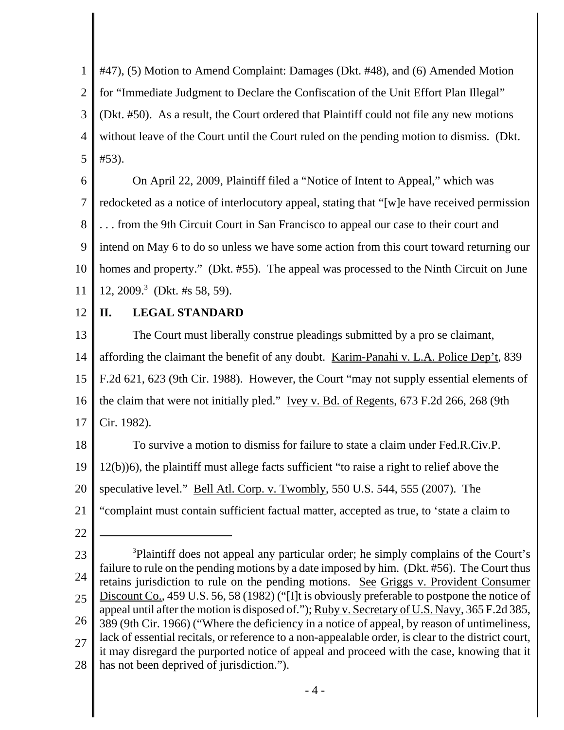1 2 3 4 5 #47), (5) Motion to Amend Complaint: Damages (Dkt. #48), and (6) Amended Motion for "Immediate Judgment to Declare the Confiscation of the Unit Effort Plan Illegal" (Dkt. #50). As a result, the Court ordered that Plaintiff could not file any new motions without leave of the Court until the Court ruled on the pending motion to dismiss. (Dkt. #53).

6 7 8 9 10 11 On April 22, 2009, Plaintiff filed a "Notice of Intent to Appeal," which was redocketed as a notice of interlocutory appeal, stating that "[w]e have received permission . . . from the 9th Circuit Court in San Francisco to appeal our case to their court and intend on May 6 to do so unless we have some action from this court toward returning our homes and property." (Dkt. #55). The appeal was processed to the Ninth Circuit on June 12, 2009.<sup>3</sup> (Dkt. #s 58, 59).

12

## **II. LEGAL STANDARD**

13 14 15 16 17 The Court must liberally construe pleadings submitted by a pro se claimant, affording the claimant the benefit of any doubt. Karim-Panahi v. L.A. Police Dep't, 839 F.2d 621, 623 (9th Cir. 1988). However, the Court "may not supply essential elements of the claim that were not initially pled." Ivey v. Bd. of Regents, 673 F.2d 266, 268 (9th Cir. 1982).

18 19 20 21 To survive a motion to dismiss for failure to state a claim under Fed.R.Civ.P. 12(b))6), the plaintiff must allege facts sufficient "to raise a right to relief above the speculative level." <u>Bell Atl. Corp. v. Twombly, 550 U.S. 544</u>, 555 (2007). The "complaint must contain sufficient factual matter, accepted as true, to 'state a claim to

22

23 24 25 26 27 28 <sup>3</sup>Plaintiff does not appeal any particular order; he simply complains of the Court's failure to rule on the pending motions by a date imposed by him. (Dkt. #56). The Court thus retains jurisdiction to rule on the pending motions. See Griggs v. Provident Consumer Discount Co., 459 U.S. 56, 58 (1982) ("[I]t is obviously preferable to postpone the notice of appeal until after the motion is disposed of."); Ruby v. Secretary of U.S. Navy, 365 F.2d 385, 389 (9th Cir. 1966) ("Where the deficiency in a notice of appeal, by reason of untimeliness, lack of essential recitals, or reference to a non-appealable order, is clear to the district court, it may disregard the purported notice of appeal and proceed with the case, knowing that it has not been deprived of jurisdiction.").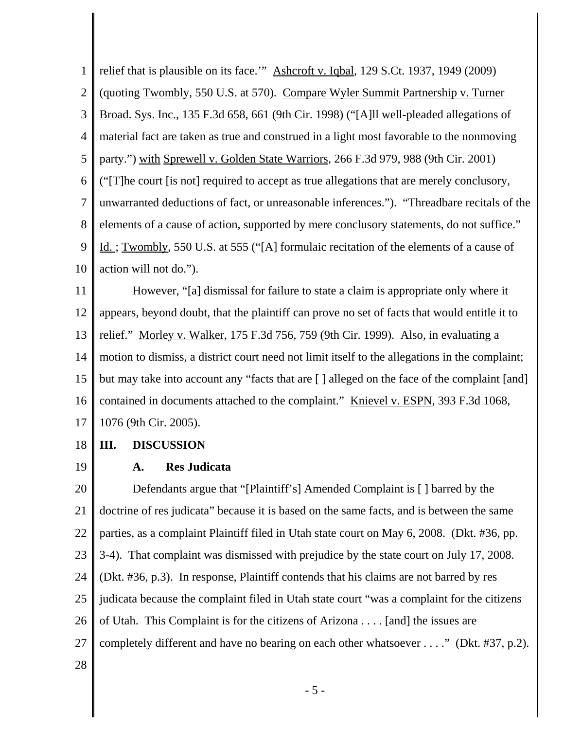1 2 3 4 5 6 7 8 9 10 relief that is plausible on its face.'" Ashcroft v. Iqbal, 129 S.Ct. 1937, 1949 (2009) (quoting Twombly, 550 U.S. at 570). Compare Wyler Summit Partnership v. Turner Broad. Sys. Inc., 135 F.3d 658, 661 (9th Cir. 1998) ("[A]ll well-pleaded allegations of material fact are taken as true and construed in a light most favorable to the nonmoving party.") with Sprewell v. Golden State Warriors, 266 F.3d 979, 988 (9th Cir. 2001) ("[T]he court [is not] required to accept as true allegations that are merely conclusory, unwarranted deductions of fact, or unreasonable inferences."). "Threadbare recitals of the elements of a cause of action, supported by mere conclusory statements, do not suffice." Id. ; Twombly, 550 U.S. at 555 ("[A] formulaic recitation of the elements of a cause of action will not do.").

11 12 13 14 15 16 17 However, "[a] dismissal for failure to state a claim is appropriate only where it appears, beyond doubt, that the plaintiff can prove no set of facts that would entitle it to relief." Morley v. Walker, 175 F.3d 756, 759 (9th Cir. 1999). Also, in evaluating a motion to dismiss, a district court need not limit itself to the allegations in the complaint; but may take into account any "facts that are [ ] alleged on the face of the complaint [and] contained in documents attached to the complaint." Knievel v. ESPN, 393 F.3d 1068, 1076 (9th Cir. 2005).

- 18 **III. DISCUSSION**
- 19

## **A. Res Judicata**

20 21 22 23 24 25 26 27 28 Defendants argue that "[Plaintiff's] Amended Complaint is [ ] barred by the doctrine of res judicata" because it is based on the same facts, and is between the same parties, as a complaint Plaintiff filed in Utah state court on May 6, 2008. (Dkt. #36, pp. 3-4). That complaint was dismissed with prejudice by the state court on July 17, 2008. (Dkt. #36, p.3). In response, Plaintiff contends that his claims are not barred by res judicata because the complaint filed in Utah state court "was a complaint for the citizens of Utah. This Complaint is for the citizens of Arizona . . . . [and] the issues are completely different and have no bearing on each other whatsoever . . . ." (Dkt. #37, p.2).

- 5 -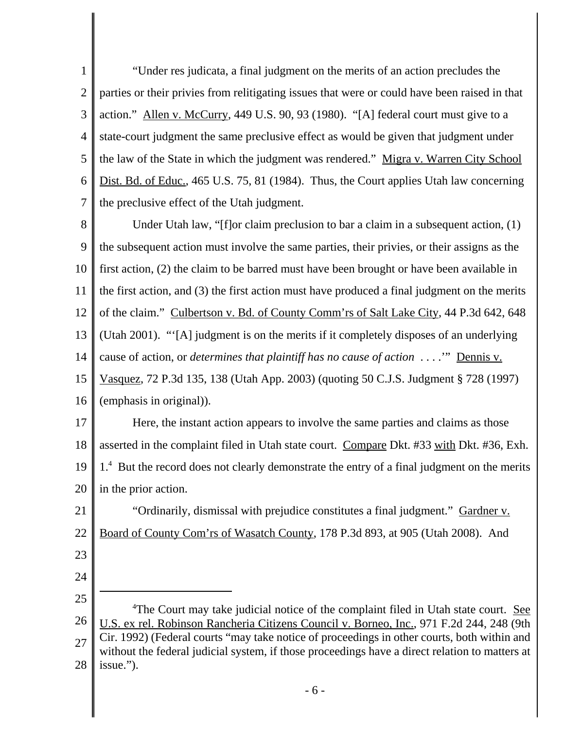1 2 3 4 5 6 7 "Under res judicata, a final judgment on the merits of an action precludes the parties or their privies from relitigating issues that were or could have been raised in that action." Allen v. McCurry, 449 U.S. 90, 93 (1980). "[A] federal court must give to a state-court judgment the same preclusive effect as would be given that judgment under the law of the State in which the judgment was rendered." Migra v. Warren City School Dist. Bd. of Educ., 465 U.S. 75, 81 (1984). Thus, the Court applies Utah law concerning the preclusive effect of the Utah judgment.

8 9 10 11 12 13 14 15 16 Under Utah law, "[f]or claim preclusion to bar a claim in a subsequent action, (1) the subsequent action must involve the same parties, their privies, or their assigns as the first action, (2) the claim to be barred must have been brought or have been available in the first action, and (3) the first action must have produced a final judgment on the merits of the claim." Culbertson v. Bd. of County Comm'rs of Salt Lake City, 44 P.3d 642, 648 (Utah 2001). "'[A] judgment is on the merits if it completely disposes of an underlying cause of action, or *determines that plaintiff has no cause of action* . . . .'" Dennis v. Vasquez, 72 P.3d 135, 138 (Utah App. 2003) (quoting 50 C.J.S. Judgment § 728 (1997) (emphasis in original)).

17 18 19 20 Here, the instant action appears to involve the same parties and claims as those asserted in the complaint filed in Utah state court. Compare Dkt. #33 with Dkt. #36, Exh. 1.<sup>4</sup> But the record does not clearly demonstrate the entry of a final judgment on the merits in the prior action.

21 22 "Ordinarily, dismissal with prejudice constitutes a final judgment." Gardner v. Board of County Com'rs of Wasatch County, 178 P.3d 893, at 905 (Utah 2008). And

- 23
- 24 25
- 26 27 28 <sup>4</sup>The Court may take judicial notice of the complaint filed in Utah state court. See U.S. ex rel. Robinson Rancheria Citizens Council v. Borneo, Inc., 971 F.2d 244, 248 (9th Cir. 1992) (Federal courts "may take notice of proceedings in other courts, both within and without the federal judicial system, if those proceedings have a direct relation to matters at issue.").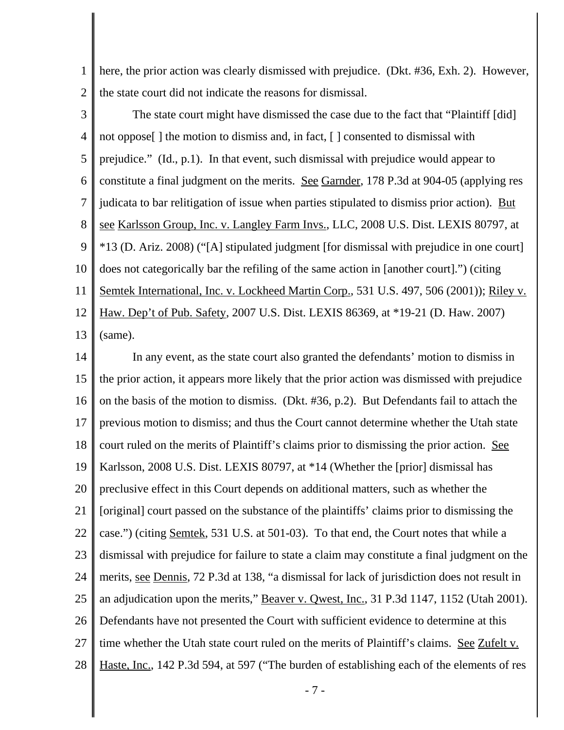1 2 here, the prior action was clearly dismissed with prejudice. (Dkt. #36, Exh. 2). However, the state court did not indicate the reasons for dismissal.

3 4 5 6 7 8 9 10 11 12 13 The state court might have dismissed the case due to the fact that "Plaintiff [did] not oppose[ ] the motion to dismiss and, in fact, [ ] consented to dismissal with prejudice." (Id., p.1). In that event, such dismissal with prejudice would appear to constitute a final judgment on the merits. See Garnder, 178 P.3d at 904-05 (applying res judicata to bar relitigation of issue when parties stipulated to dismiss prior action). But see Karlsson Group, Inc. v. Langley Farm Invs., LLC, 2008 U.S. Dist. LEXIS 80797, at \*13 (D. Ariz. 2008) ("[A] stipulated judgment [for dismissal with prejudice in one court] does not categorically bar the refiling of the same action in [another court].") (citing Semtek International, Inc. v. Lockheed Martin Corp., 531 U.S. 497, 506 (2001)); Riley v. Haw. Dep't of Pub. Safety, 2007 U.S. Dist. LEXIS 86369, at \*19-21 (D. Haw. 2007) (same).

14 15 16 17 18 19 20 21 22 23 24 25 26 27 28 In any event, as the state court also granted the defendants' motion to dismiss in the prior action, it appears more likely that the prior action was dismissed with prejudice on the basis of the motion to dismiss. (Dkt. #36, p.2). But Defendants fail to attach the previous motion to dismiss; and thus the Court cannot determine whether the Utah state court ruled on the merits of Plaintiff's claims prior to dismissing the prior action. See Karlsson, 2008 U.S. Dist. LEXIS 80797, at \*14 (Whether the [prior] dismissal has preclusive effect in this Court depends on additional matters, such as whether the [original] court passed on the substance of the plaintiffs' claims prior to dismissing the case.") (citing Semtek, 531 U.S. at 501-03). To that end, the Court notes that while a dismissal with prejudice for failure to state a claim may constitute a final judgment on the merits, see Dennis, 72 P.3d at 138, "a dismissal for lack of jurisdiction does not result in an adjudication upon the merits," Beaver v. Qwest, Inc., 31 P.3d 1147, 1152 (Utah 2001). Defendants have not presented the Court with sufficient evidence to determine at this time whether the Utah state court ruled on the merits of Plaintiff's claims. See Zufelt v. Haste, Inc., 142 P.3d 594, at 597 ("The burden of establishing each of the elements of res

- 7 -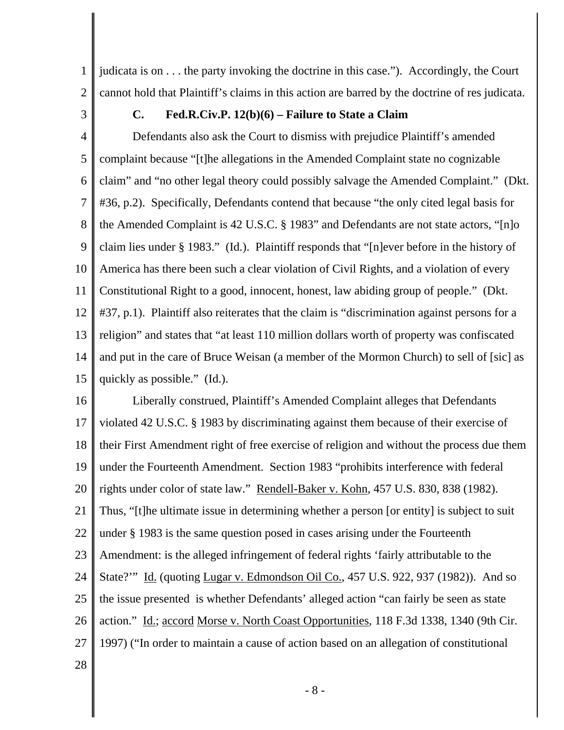1 2 judicata is on . . . the party invoking the doctrine in this case."). Accordingly, the Court cannot hold that Plaintiff's claims in this action are barred by the doctrine of res judicata.

3

## **C. Fed.R.Civ.P. 12(b)(6) – Failure to State a Claim**

4 5 6 7 8 9 10 11 12 13 14 15 Defendants also ask the Court to dismiss with prejudice Plaintiff's amended complaint because "[t]he allegations in the Amended Complaint state no cognizable claim" and "no other legal theory could possibly salvage the Amended Complaint." (Dkt. #36, p.2). Specifically, Defendants contend that because "the only cited legal basis for the Amended Complaint is 42 U.S.C. § 1983" and Defendants are not state actors, "[n]o claim lies under § 1983." (Id.). Plaintiff responds that "[n]ever before in the history of America has there been such a clear violation of Civil Rights, and a violation of every Constitutional Right to a good, innocent, honest, law abiding group of people." (Dkt. #37, p.1). Plaintiff also reiterates that the claim is "discrimination against persons for a religion" and states that "at least 110 million dollars worth of property was confiscated and put in the care of Bruce Weisan (a member of the Mormon Church) to sell of [sic] as quickly as possible." (Id.).

16 17 18 19 20 21 22 23 24 25 26 27 28 Liberally construed, Plaintiff's Amended Complaint alleges that Defendants violated 42 U.S.C. § 1983 by discriminating against them because of their exercise of their First Amendment right of free exercise of religion and without the process due them under the Fourteenth Amendment. Section 1983 "prohibits interference with federal rights under color of state law." Rendell-Baker v. Kohn, 457 U.S. 830, 838 (1982). Thus, "[t]he ultimate issue in determining whether a person [or entity] is subject to suit under § 1983 is the same question posed in cases arising under the Fourteenth Amendment: is the alleged infringement of federal rights 'fairly attributable to the State?'" Id. (quoting Lugar v. Edmondson Oil Co., 457 U.S. 922, 937 (1982)). And so the issue presented is whether Defendants' alleged action "can fairly be seen as state action." Id.; accord Morse v. North Coast Opportunities, 118 F.3d 1338, 1340 (9th Cir. 1997) ("In order to maintain a cause of action based on an allegation of constitutional

- 8 -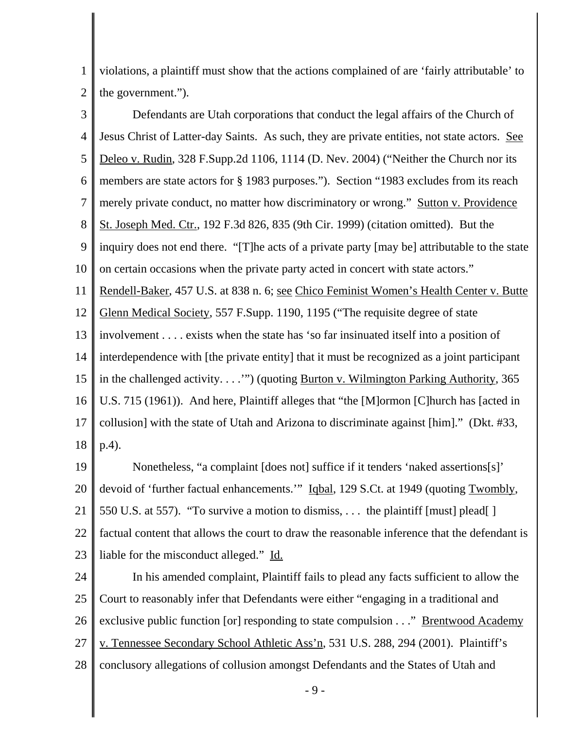1 2 violations, a plaintiff must show that the actions complained of are 'fairly attributable' to the government.").

3 4 5 6 7 8 9 10 11 12 13 14 15 16 17 18 Defendants are Utah corporations that conduct the legal affairs of the Church of Jesus Christ of Latter-day Saints. As such, they are private entities, not state actors. See Deleo v. Rudin, 328 F.Supp.2d 1106, 1114 (D. Nev. 2004) ("Neither the Church nor its members are state actors for § 1983 purposes."). Section "1983 excludes from its reach merely private conduct, no matter how discriminatory or wrong." Sutton v. Providence St. Joseph Med. Ctr., 192 F.3d 826, 835 (9th Cir. 1999) (citation omitted). But the inquiry does not end there. "[T]he acts of a private party [may be] attributable to the state on certain occasions when the private party acted in concert with state actors." Rendell-Baker, 457 U.S. at 838 n. 6; see Chico Feminist Women's Health Center v. Butte Glenn Medical Society, 557 F.Supp. 1190, 1195 ("The requisite degree of state involvement . . . . exists when the state has 'so far insinuated itself into a position of interdependence with [the private entity] that it must be recognized as a joint participant in the challenged activity. . . ."") (quoting <u>Burton v. Wilmington Parking Authority</u>, 365 U.S. 715 (1961)). And here, Plaintiff alleges that "the [M]ormon [C]hurch has [acted in collusion] with the state of Utah and Arizona to discriminate against [him]." (Dkt. #33, p.4).

19 20 21 22 23 Nonetheless, "a complaint [does not] suffice if it tenders 'naked assertions[s]' devoid of 'further factual enhancements.'" Iqbal, 129 S.Ct. at 1949 (quoting Twombly, 550 U.S. at 557). "To survive a motion to dismiss, . . . the plaintiff [must] plead[ ] factual content that allows the court to draw the reasonable inference that the defendant is liable for the misconduct alleged." Id.

24 25 26 27 28 In his amended complaint, Plaintiff fails to plead any facts sufficient to allow the Court to reasonably infer that Defendants were either "engaging in a traditional and exclusive public function [or] responding to state compulsion . . ." <u>Brentwood Academy</u> v. Tennessee Secondary School Athletic Ass'n, 531 U.S. 288, 294 (2001). Plaintiff's conclusory allegations of collusion amongst Defendants and the States of Utah and

- 9 -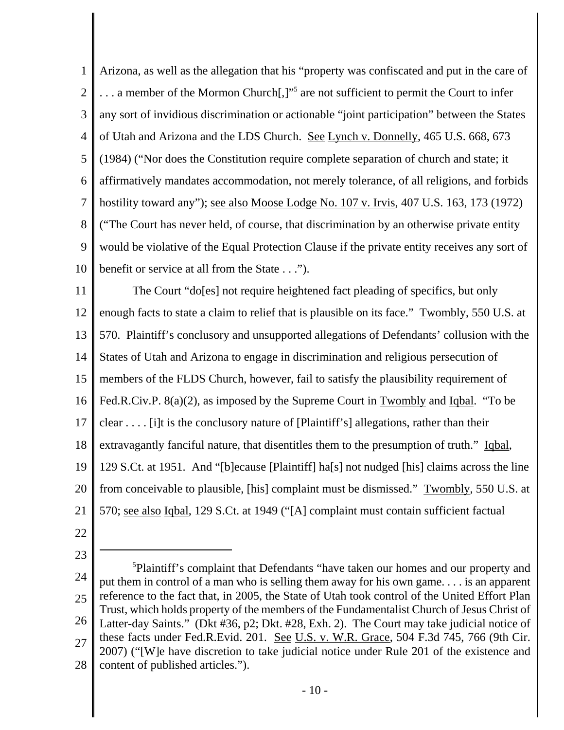1 2 3 4 5 6 7 8 9 10 Arizona, as well as the allegation that his "property was confiscated and put in the care of ... a member of the Mormon Church[,]"<sup>5</sup> are not sufficient to permit the Court to infer any sort of invidious discrimination or actionable "joint participation" between the States of Utah and Arizona and the LDS Church. See Lynch v. Donnelly, 465 U.S. 668, 673 (1984) ("Nor does the Constitution require complete separation of church and state; it affirmatively mandates accommodation, not merely tolerance, of all religions, and forbids hostility toward any"); see also Moose Lodge No. 107 v. Irvis, 407 U.S. 163, 173 (1972) ("The Court has never held, of course, that discrimination by an otherwise private entity would be violative of the Equal Protection Clause if the private entity receives any sort of benefit or service at all from the State . . .").

11 12 13 14 15 16 17 18 19 20 21 The Court "do[es] not require heightened fact pleading of specifics, but only enough facts to state a claim to relief that is plausible on its face." Twombly, 550 U.S. at 570. Plaintiff's conclusory and unsupported allegations of Defendants' collusion with the States of Utah and Arizona to engage in discrimination and religious persecution of members of the FLDS Church, however, fail to satisfy the plausibility requirement of Fed.R.Civ.P. 8(a)(2), as imposed by the Supreme Court in Twombly and Iqbal. "To be clear . . . . [i]t is the conclusory nature of [Plaintiff's] allegations, rather than their extravagantly fanciful nature, that disentitles them to the presumption of truth." Iqbal, 129 S.Ct. at 1951. And "[b]ecause [Plaintiff] ha[s] not nudged [his] claims across the line from conceivable to plausible, [his] complaint must be dismissed." Twombly, 550 U.S. at 570; see also Igbal, 129 S.Ct. at 1949 ("[A] complaint must contain sufficient factual

22

23

24 25 26 27 28 <sup>5</sup>Plaintiff's complaint that Defendants "have taken our homes and our property and put them in control of a man who is selling them away for his own game. . . . is an apparent reference to the fact that, in 2005, the State of Utah took control of the United Effort Plan Trust, which holds property of the members of the Fundamentalist Church of Jesus Christ of Latter-day Saints." (Dkt #36, p2; Dkt. #28, Exh. 2). The Court may take judicial notice of these facts under Fed.R.Evid. 201. See U.S. v. W.R. Grace, 504 F.3d 745, 766 (9th Cir. 2007) ("[W]e have discretion to take judicial notice under Rule 201 of the existence and content of published articles.").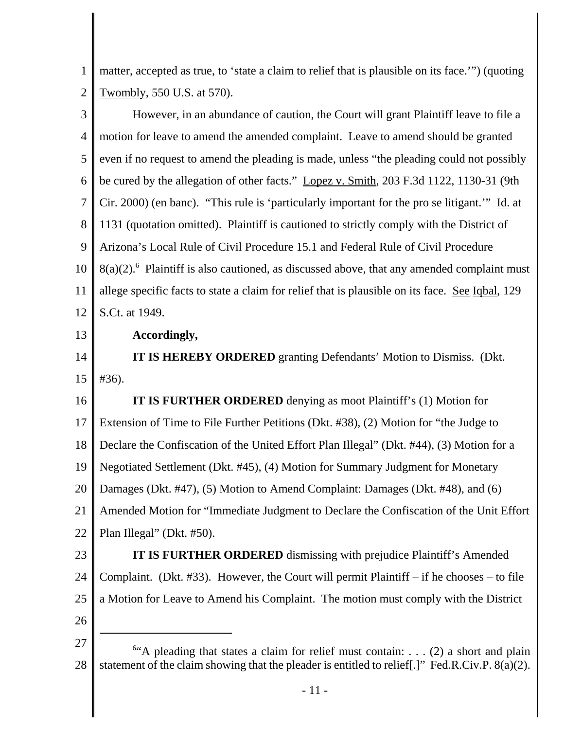1 2 matter, accepted as true, to 'state a claim to relief that is plausible on its face.'") (quoting Twombly, 550 U.S. at 570).

3 4 5 6 7 8 9 10 11 12 However, in an abundance of caution, the Court will grant Plaintiff leave to file a motion for leave to amend the amended complaint. Leave to amend should be granted even if no request to amend the pleading is made, unless "the pleading could not possibly be cured by the allegation of other facts." Lopez v. Smith, 203 F.3d 1122, 1130-31 (9th Cir. 2000) (en banc). "This rule is 'particularly important for the pro se litigant.'" Id. at 1131 (quotation omitted). Plaintiff is cautioned to strictly comply with the District of Arizona's Local Rule of Civil Procedure 15.1 and Federal Rule of Civil Procedure  $8(a)(2)$ .<sup>6</sup> Plaintiff is also cautioned, as discussed above, that any amended complaint must allege specific facts to state a claim for relief that is plausible on its face. See Iqbal, 129 S.Ct. at 1949.

13 **Accordingly,**

14 15 **IT IS HEREBY ORDERED** granting Defendants' Motion to Dismiss. (Dkt. #36).

16 17 18 19 20 21 22 **IT IS FURTHER ORDERED** denying as moot Plaintiff's (1) Motion for Extension of Time to File Further Petitions (Dkt. #38), (2) Motion for "the Judge to Declare the Confiscation of the United Effort Plan Illegal" (Dkt. #44), (3) Motion for a Negotiated Settlement (Dkt. #45), (4) Motion for Summary Judgment for Monetary Damages (Dkt. #47), (5) Motion to Amend Complaint: Damages (Dkt. #48), and (6) Amended Motion for "Immediate Judgment to Declare the Confiscation of the Unit Effort Plan Illegal" (Dkt. #50).

- 23 24 25 **IT IS FURTHER ORDERED** dismissing with prejudice Plaintiff's Amended Complaint. (Dkt. #33). However, the Court will permit Plaintiff – if he chooses – to file a Motion for Leave to Amend his Complaint. The motion must comply with the District
- 26

<sup>27</sup> 28 <sup>6"</sup>A pleading that states a claim for relief must contain: . . . (2) a short and plain statement of the claim showing that the pleader is entitled to relief[.]" Fed.R.Civ.P. 8(a)(2).